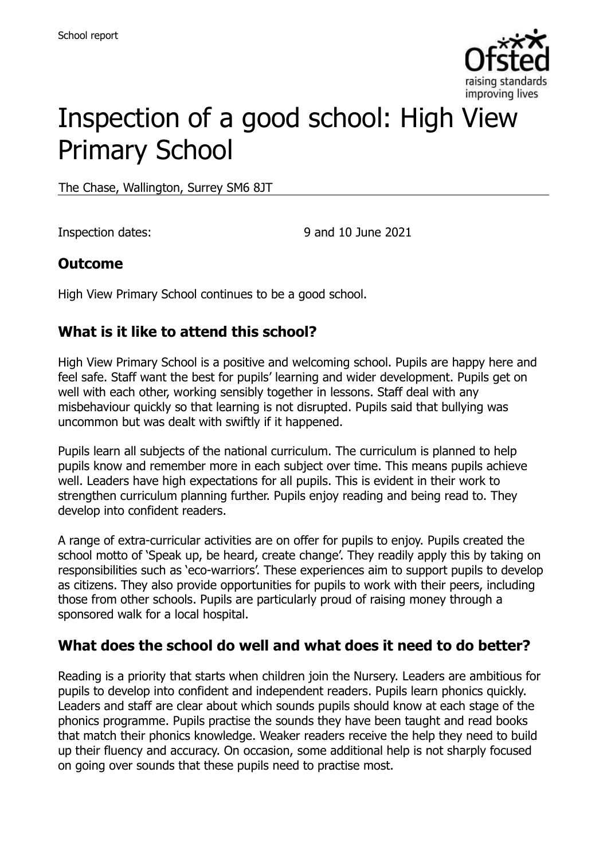

# Inspection of a good school: High View Primary School

The Chase, Wallington, Surrey SM6 8JT

Inspection dates: 9 and 10 June 2021

#### **Outcome**

High View Primary School continues to be a good school.

# **What is it like to attend this school?**

High View Primary School is a positive and welcoming school. Pupils are happy here and feel safe. Staff want the best for pupils' learning and wider development. Pupils get on well with each other, working sensibly together in lessons. Staff deal with any misbehaviour quickly so that learning is not disrupted. Pupils said that bullying was uncommon but was dealt with swiftly if it happened.

Pupils learn all subjects of the national curriculum. The curriculum is planned to help pupils know and remember more in each subject over time. This means pupils achieve well. Leaders have high expectations for all pupils. This is evident in their work to strengthen curriculum planning further. Pupils enjoy reading and being read to. They develop into confident readers.

A range of extra-curricular activities are on offer for pupils to enjoy. Pupils created the school motto of 'Speak up, be heard, create change'. They readily apply this by taking on responsibilities such as 'eco-warriors'. These experiences aim to support pupils to develop as citizens. They also provide opportunities for pupils to work with their peers, including those from other schools. Pupils are particularly proud of raising money through a sponsored walk for a local hospital.

#### **What does the school do well and what does it need to do better?**

Reading is a priority that starts when children join the Nursery. Leaders are ambitious for pupils to develop into confident and independent readers. Pupils learn phonics quickly. Leaders and staff are clear about which sounds pupils should know at each stage of the phonics programme. Pupils practise the sounds they have been taught and read books that match their phonics knowledge. Weaker readers receive the help they need to build up their fluency and accuracy. On occasion, some additional help is not sharply focused on going over sounds that these pupils need to practise most.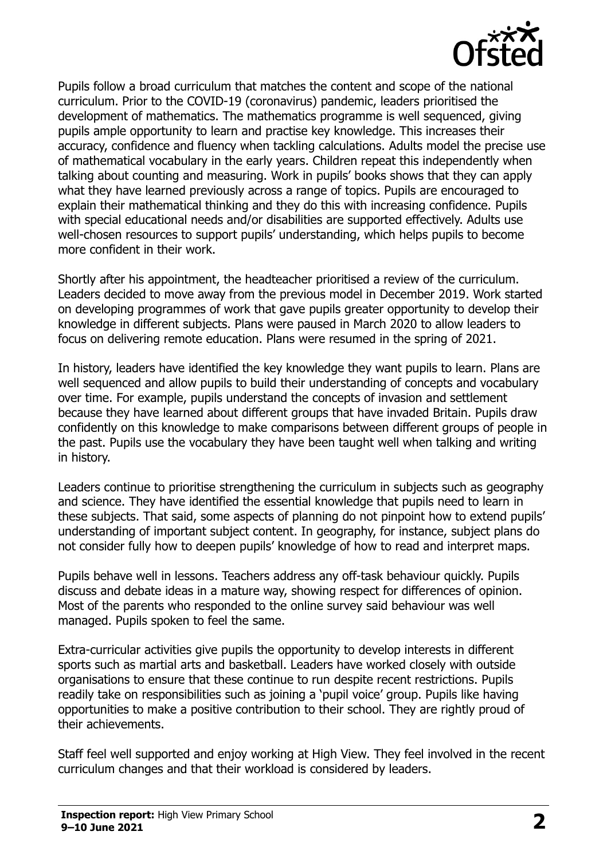

Pupils follow a broad curriculum that matches the content and scope of the national curriculum. Prior to the COVID-19 (coronavirus) pandemic, leaders prioritised the development of mathematics. The mathematics programme is well sequenced, giving pupils ample opportunity to learn and practise key knowledge. This increases their accuracy, confidence and fluency when tackling calculations. Adults model the precise use of mathematical vocabulary in the early years. Children repeat this independently when talking about counting and measuring. Work in pupils' books shows that they can apply what they have learned previously across a range of topics. Pupils are encouraged to explain their mathematical thinking and they do this with increasing confidence. Pupils with special educational needs and/or disabilities are supported effectively. Adults use well-chosen resources to support pupils' understanding, which helps pupils to become more confident in their work.

Shortly after his appointment, the headteacher prioritised a review of the curriculum. Leaders decided to move away from the previous model in December 2019. Work started on developing programmes of work that gave pupils greater opportunity to develop their knowledge in different subjects. Plans were paused in March 2020 to allow leaders to focus on delivering remote education. Plans were resumed in the spring of 2021.

In history, leaders have identified the key knowledge they want pupils to learn. Plans are well sequenced and allow pupils to build their understanding of concepts and vocabulary over time. For example, pupils understand the concepts of invasion and settlement because they have learned about different groups that have invaded Britain. Pupils draw confidently on this knowledge to make comparisons between different groups of people in the past. Pupils use the vocabulary they have been taught well when talking and writing in history.

Leaders continue to prioritise strengthening the curriculum in subjects such as geography and science. They have identified the essential knowledge that pupils need to learn in these subjects. That said, some aspects of planning do not pinpoint how to extend pupils' understanding of important subject content. In geography, for instance, subject plans do not consider fully how to deepen pupils' knowledge of how to read and interpret maps.

Pupils behave well in lessons. Teachers address any off-task behaviour quickly. Pupils discuss and debate ideas in a mature way, showing respect for differences of opinion. Most of the parents who responded to the online survey said behaviour was well managed. Pupils spoken to feel the same.

Extra-curricular activities give pupils the opportunity to develop interests in different sports such as martial arts and basketball. Leaders have worked closely with outside organisations to ensure that these continue to run despite recent restrictions. Pupils readily take on responsibilities such as joining a 'pupil voice' group. Pupils like having opportunities to make a positive contribution to their school. They are rightly proud of their achievements.

Staff feel well supported and enjoy working at High View. They feel involved in the recent curriculum changes and that their workload is considered by leaders.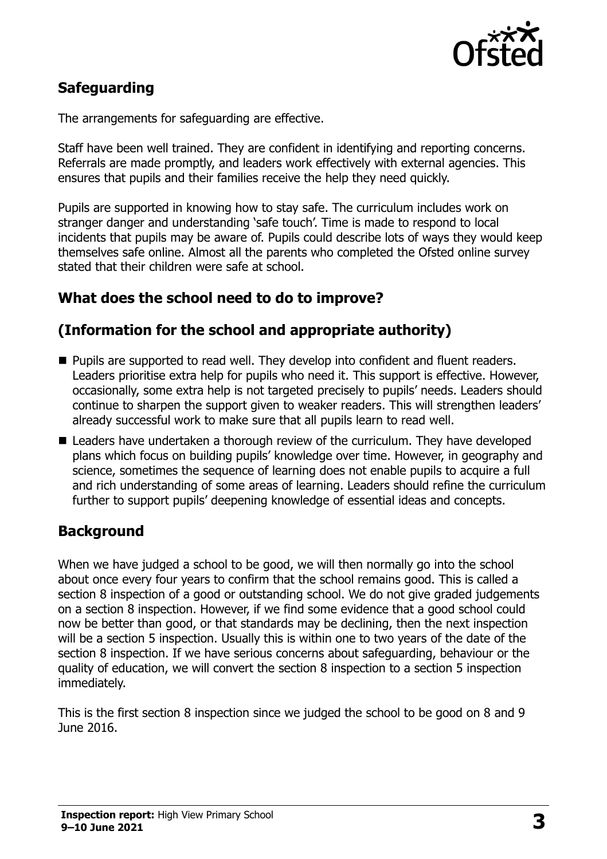

# **Safeguarding**

The arrangements for safeguarding are effective.

Staff have been well trained. They are confident in identifying and reporting concerns. Referrals are made promptly, and leaders work effectively with external agencies. This ensures that pupils and their families receive the help they need quickly.

Pupils are supported in knowing how to stay safe. The curriculum includes work on stranger danger and understanding 'safe touch'. Time is made to respond to local incidents that pupils may be aware of. Pupils could describe lots of ways they would keep themselves safe online. Almost all the parents who completed the Ofsted online survey stated that their children were safe at school.

# **What does the school need to do to improve?**

# **(Information for the school and appropriate authority)**

- **Pupils are supported to read well. They develop into confident and fluent readers.** Leaders prioritise extra help for pupils who need it. This support is effective. However, occasionally, some extra help is not targeted precisely to pupils' needs. Leaders should continue to sharpen the support given to weaker readers. This will strengthen leaders' already successful work to make sure that all pupils learn to read well.
- Leaders have undertaken a thorough review of the curriculum. They have developed plans which focus on building pupils' knowledge over time. However, in geography and science, sometimes the sequence of learning does not enable pupils to acquire a full and rich understanding of some areas of learning. Leaders should refine the curriculum further to support pupils' deepening knowledge of essential ideas and concepts.

# **Background**

When we have judged a school to be good, we will then normally go into the school about once every four years to confirm that the school remains good. This is called a section 8 inspection of a good or outstanding school. We do not give graded judgements on a section 8 inspection. However, if we find some evidence that a good school could now be better than good, or that standards may be declining, then the next inspection will be a section 5 inspection. Usually this is within one to two years of the date of the section 8 inspection. If we have serious concerns about safeguarding, behaviour or the quality of education, we will convert the section 8 inspection to a section 5 inspection immediately.

This is the first section 8 inspection since we judged the school to be good on 8 and 9 June 2016.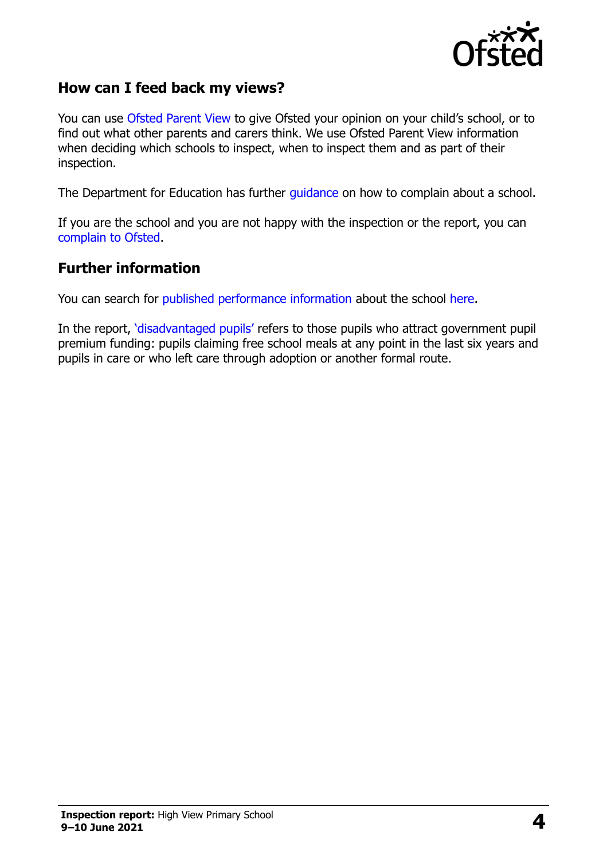

#### **How can I feed back my views?**

You can use [Ofsted Parent View](https://parentview.ofsted.gov.uk/) to give Ofsted your opinion on your child's school, or to find out what other parents and carers think. We use Ofsted Parent View information when deciding which schools to inspect, when to inspect them and as part of their inspection.

The Department for Education has further [guidance](http://www.gov.uk/complain-about-school) on how to complain about a school.

If you are the school and you are not happy with the inspection or the report, you can [complain to Ofsted.](https://www.gov.uk/complain-ofsted-report)

#### **Further information**

You can search for [published performance information](http://www.compare-school-performance.service.gov.uk/) about the school [here.](http://www.compare-school-performance.service.gov.uk/)

In the report, '[disadvantaged pupils](http://www.gov.uk/guidance/pupil-premium-information-for-schools-and-alternative-provision-settings)' refers to those pupils who attract government pupil premium funding: pupils claiming free school meals at any point in the last six years and pupils in care or who left care through adoption or another formal route.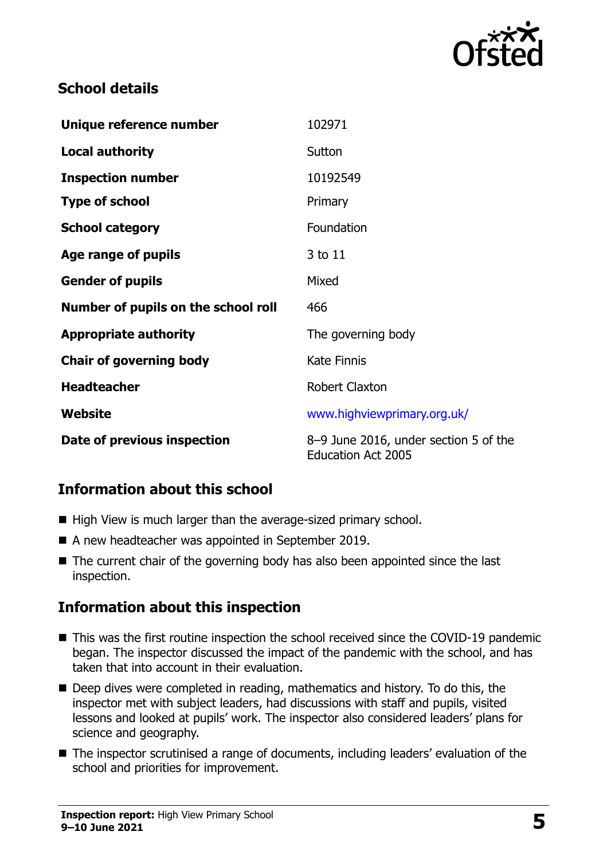

#### **School details**

| Unique reference number             | 102971                                                             |
|-------------------------------------|--------------------------------------------------------------------|
| <b>Local authority</b>              | Sutton                                                             |
| <b>Inspection number</b>            | 10192549                                                           |
| <b>Type of school</b>               | Primary                                                            |
| <b>School category</b>              | Foundation                                                         |
| Age range of pupils                 | 3 to 11                                                            |
| <b>Gender of pupils</b>             | Mixed                                                              |
| Number of pupils on the school roll | 466                                                                |
| <b>Appropriate authority</b>        | The governing body                                                 |
| <b>Chair of governing body</b>      | <b>Kate Finnis</b>                                                 |
| <b>Headteacher</b>                  | <b>Robert Claxton</b>                                              |
| Website                             | www.highviewprimary.org.uk/                                        |
| Date of previous inspection         | 8–9 June 2016, under section 5 of the<br><b>Education Act 2005</b> |

# **Information about this school**

- High View is much larger than the average-sized primary school.
- A new headteacher was appointed in September 2019.
- The current chair of the governing body has also been appointed since the last inspection.

# **Information about this inspection**

- This was the first routine inspection the school received since the COVID-19 pandemic began. The inspector discussed the impact of the pandemic with the school, and has taken that into account in their evaluation.
- Deep dives were completed in reading, mathematics and history. To do this, the inspector met with subject leaders, had discussions with staff and pupils, visited lessons and looked at pupils' work. The inspector also considered leaders' plans for science and geography.
- The inspector scrutinised a range of documents, including leaders' evaluation of the school and priorities for improvement.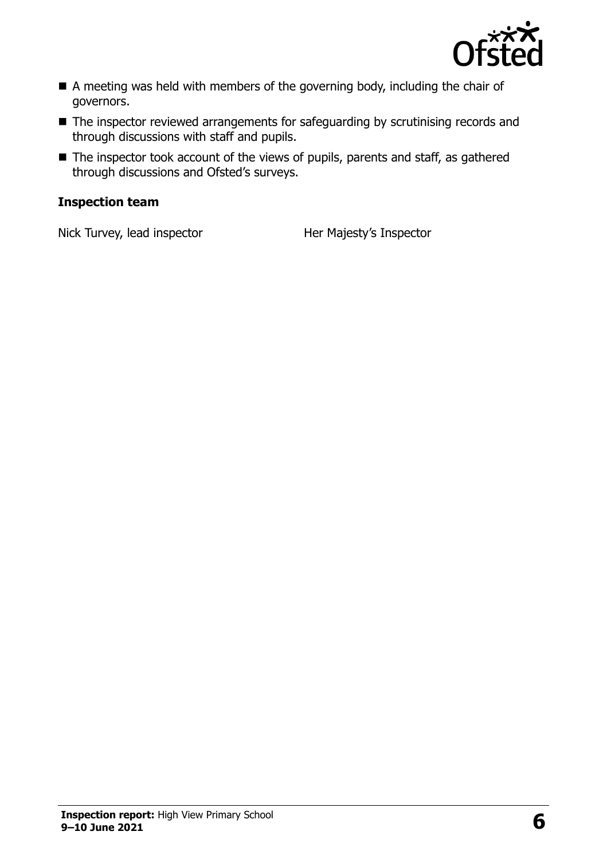

- A meeting was held with members of the governing body, including the chair of governors.
- The inspector reviewed arrangements for safeguarding by scrutinising records and through discussions with staff and pupils.
- The inspector took account of the views of pupils, parents and staff, as gathered through discussions and Ofsted's surveys.

#### **Inspection team**

Nick Turvey, lead inspector Her Majesty's Inspector